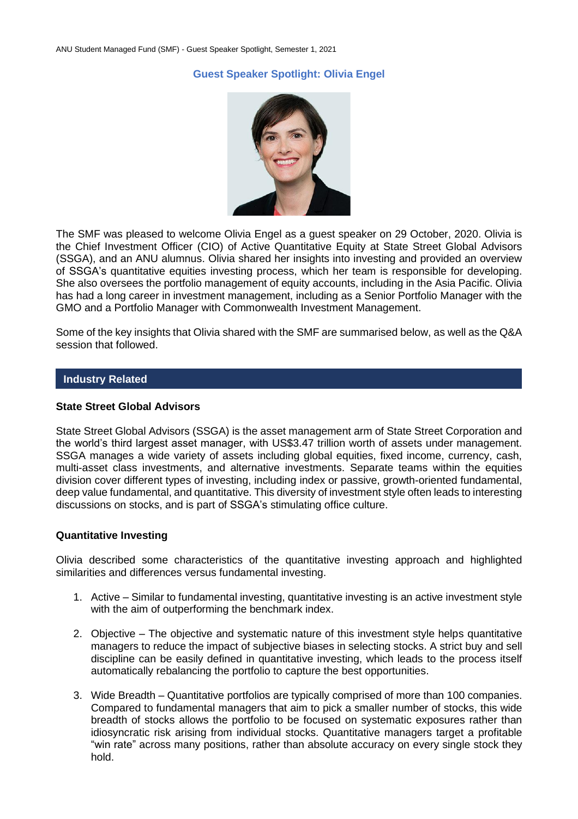# **Guest Speaker Spotlight: Olivia Engel**



The SMF was pleased to welcome Olivia Engel as a guest speaker on 29 October, 2020. Olivia is the Chief Investment Officer (CIO) of Active Quantitative Equity at State Street Global Advisors (SSGA), and an ANU alumnus. Olivia shared her insights into investing and provided an overview of SSGA's quantitative equities investing process, which her team is responsible for developing. She also oversees the portfolio management of equity accounts, including in the Asia Pacific. Olivia has had a long career in investment management, including as a Senior Portfolio Manager with the GMO and a Portfolio Manager with Commonwealth Investment Management.

Some of the key insights that Olivia shared with the SMF are summarised below, as well as the Q&A session that followed.

## **Industry Related**

#### **State Street Global Advisors**

State Street Global Advisors (SSGA) is the asset management arm of State Street Corporation and the world's third largest asset manager, with US\$3.47 trillion worth of assets under management. SSGA manages a wide variety of assets including global equities, fixed income, currency, cash, multi-asset class investments, and alternative investments. Separate teams within the equities division cover different types of investing, including index or passive, growth-oriented fundamental, deep value fundamental, and quantitative. This diversity of investment style often leads to interesting discussions on stocks, and is part of SSGA's stimulating office culture.

#### **Quantitative Investing**

Olivia described some characteristics of the quantitative investing approach and highlighted similarities and differences versus fundamental investing.

- 1. Active Similar to fundamental investing, quantitative investing is an active investment style with the aim of outperforming the benchmark index.
- 2. Objective The objective and systematic nature of this investment style helps quantitative managers to reduce the impact of subjective biases in selecting stocks. A strict buy and sell discipline can be easily defined in quantitative investing, which leads to the process itself automatically rebalancing the portfolio to capture the best opportunities.
- 3. Wide Breadth Quantitative portfolios are typically comprised of more than 100 companies. Compared to fundamental managers that aim to pick a smaller number of stocks, this wide breadth of stocks allows the portfolio to be focused on systematic exposures rather than idiosyncratic risk arising from individual stocks. Quantitative managers target a profitable "win rate" across many positions, rather than absolute accuracy on every single stock they hold.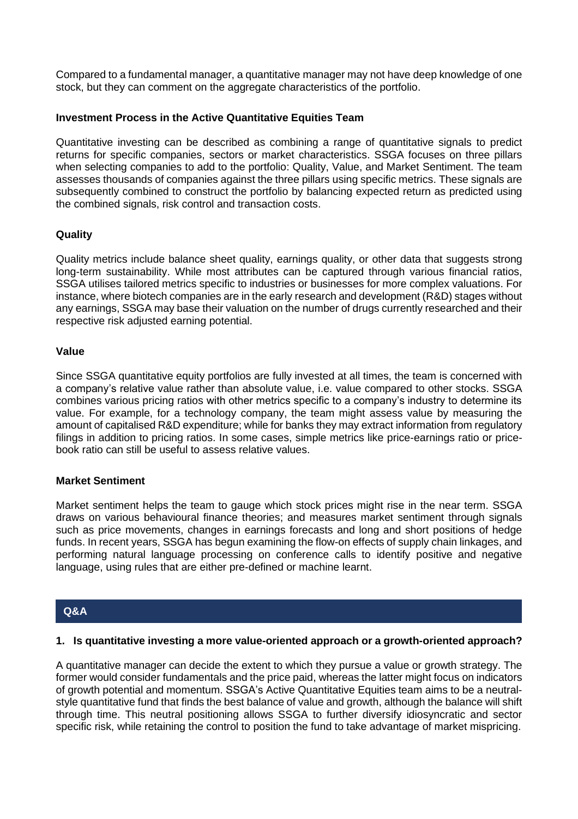Compared to a fundamental manager, a quantitative manager may not have deep knowledge of one stock, but they can comment on the aggregate characteristics of the portfolio.

# **Investment Process in the Active Quantitative Equities Team**

Quantitative investing can be described as combining a range of quantitative signals to predict returns for specific companies, sectors or market characteristics. SSGA focuses on three pillars when selecting companies to add to the portfolio: Quality, Value, and Market Sentiment. The team assesses thousands of companies against the three pillars using specific metrics. These signals are subsequently combined to construct the portfolio by balancing expected return as predicted using the combined signals, risk control and transaction costs.

### **Quality**

Quality metrics include balance sheet quality, earnings quality, or other data that suggests strong long-term sustainability. While most attributes can be captured through various financial ratios, SSGA utilises tailored metrics specific to industries or businesses for more complex valuations. For instance, where biotech companies are in the early research and development (R&D) stages without any earnings, SSGA may base their valuation on the number of drugs currently researched and their respective risk adjusted earning potential.

### **Value**

Since SSGA quantitative equity portfolios are fully invested at all times, the team is concerned with a company's relative value rather than absolute value, i.e. value compared to other stocks. SSGA combines various pricing ratios with other metrics specific to a company's industry to determine its value. For example, for a technology company, the team might assess value by measuring the amount of capitalised R&D expenditure; while for banks they may extract information from regulatory filings in addition to pricing ratios. In some cases, simple metrics like price-earnings ratio or pricebook ratio can still be useful to assess relative values.

# **Market Sentiment**

Market sentiment helps the team to gauge which stock prices might rise in the near term. SSGA draws on various behavioural finance theories; and measures market sentiment through signals such as price movements, changes in earnings forecasts and long and short positions of hedge funds. In recent years, SSGA has begun examining the flow-on effects of supply chain linkages, and performing natural language processing on conference calls to identify positive and negative language, using rules that are either pre-defined or machine learnt.

# **Q&A**

#### **1. Is quantitative investing a more value-oriented approach or a growth-oriented approach?**

A quantitative manager can decide the extent to which they pursue a value or growth strategy. The former would consider fundamentals and the price paid, whereas the latter might focus on indicators of growth potential and momentum. SSGA's Active Quantitative Equities team aims to be a neutralstyle quantitative fund that finds the best balance of value and growth, although the balance will shift through time. This neutral positioning allows SSGA to further diversify idiosyncratic and sector specific risk, while retaining the control to position the fund to take advantage of market mispricing.